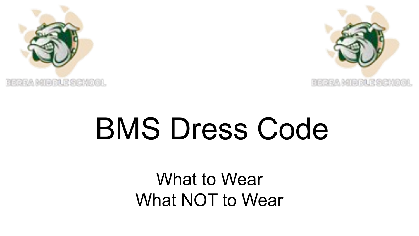



# BMS Dress Code

What to Wear What NOT to Wear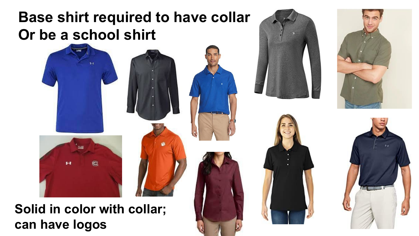## **Base shirt required to have collar Or be a school shirt**



**Solid in color with collar; can have logos**







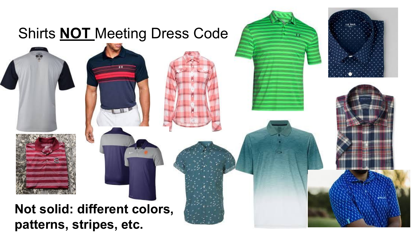## Shirts **NOT** Meeting Dress Code









#### **Not solid: different colors, patterns, stripes, etc.**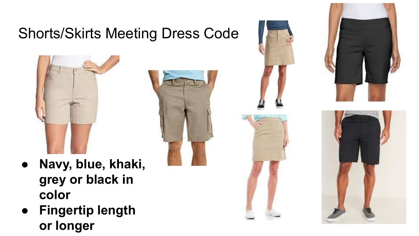## Shorts/Skirts Meeting Dress Code



- **● Navy, blue, khaki, grey or black in color**
- **● Fingertip length or longer**







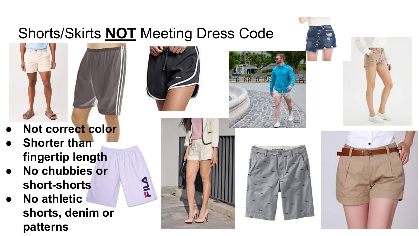## Shorts/Skirts **NOT** Meeting Dress Code



- **● Not correct color**
- **● Shorter than fingertip length**
- **● No chubbies or short-shorts**
- **● No athletic shorts, denim or patterns**









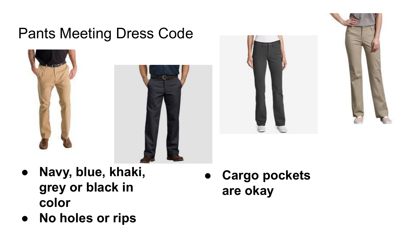#### Pants Meeting Dress Code







- **● Navy, blue, khaki, grey or black in color**
- **● No holes or rips**

**● Cargo pockets are okay**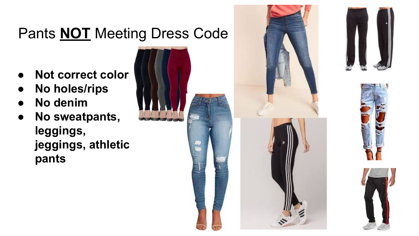## Pants **NOT** Meeting Dress Code

- **● Not correct color**
- **● No holes/rips**
- **● No denim**
- **● No sweatpants, leggings, jeggings, athletic pants**



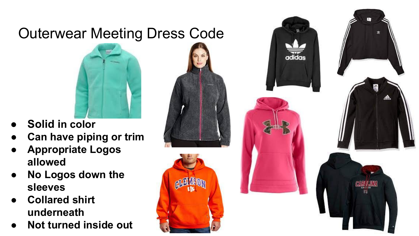## Outerwear Meeting Dress Code



- **● Solid in color**
- **● Can have piping or trim**
- **● Appropriate Logos allowed**
- **● No Logos down the sleeves**
- **● Collared shirt underneath**
- **● Not turned inside out**





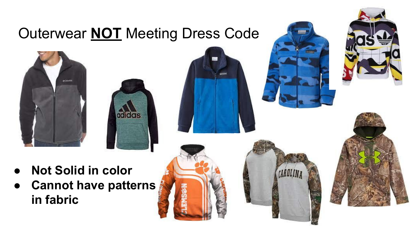## Outerwear **NOT** Meeting Dress Code













- **● Not Solid in color**
- **● Cannot have patterns in fabric**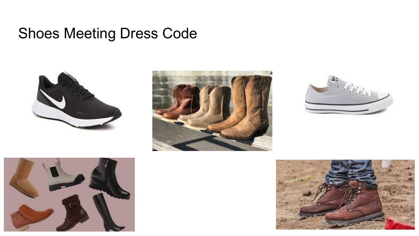#### Shoes Meeting Dress Code